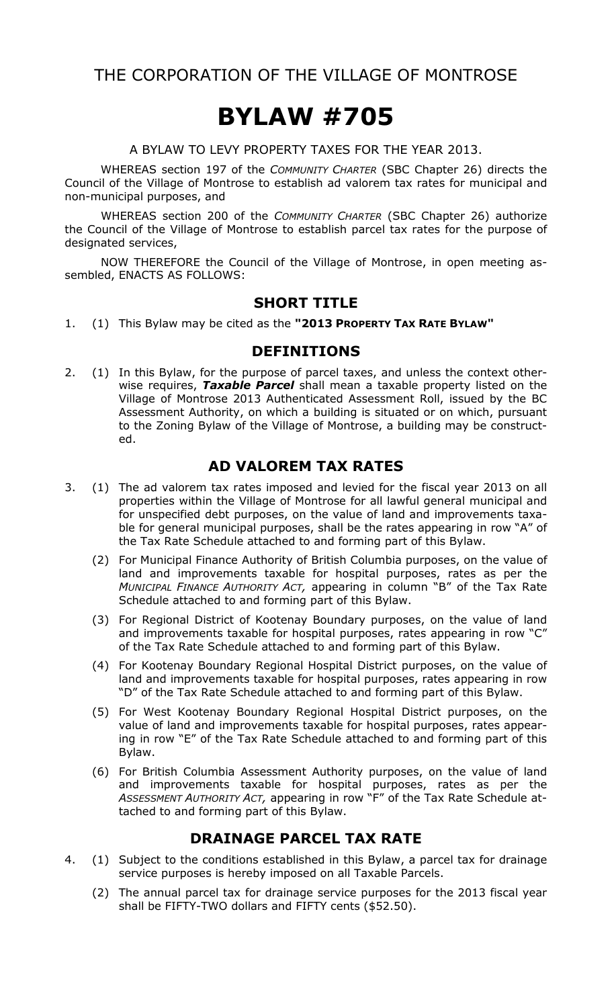THE CORPORATION OF THE VILLAGE OF MONTROSE

# BYLAW #705

A BYLAW TO LEVY PROPERTY TAXES FOR THE YEAR 2013.

WHEREAS section 197 of the COMMUNITY CHARTER (SBC Chapter 26) directs the Council of the Village of Montrose to establish ad valorem tax rates for municipal and non-municipal purposes, and

WHEREAS section 200 of the COMMUNITY CHARTER (SBC Chapter 26) authorize the Council of the Village of Montrose to establish parcel tax rates for the purpose of designated services,

NOW THEREFORE the Council of the Village of Montrose, in open meeting assembled, ENACTS AS FOLLOWS:

#### SHORT TITLE

1. (1) This Bylaw may be cited as the "2013 PROPERTY TAX RATE BYLAW"

#### DEFINITIONS

2. (1) In this Bylaw, for the purpose of parcel taxes, and unless the context otherwise requires, Taxable Parcel shall mean a taxable property listed on the Village of Montrose 2013 Authenticated Assessment Roll, issued by the BC Assessment Authority, on which a building is situated or on which, pursuant to the Zoning Bylaw of the Village of Montrose, a building may be constructed.

#### AD VALOREM TAX RATES

- 3. (1) The ad valorem tax rates imposed and levied for the fiscal year 2013 on all properties within the Village of Montrose for all lawful general municipal and for unspecified debt purposes, on the value of land and improvements taxable for general municipal purposes, shall be the rates appearing in row "A" of the Tax Rate Schedule attached to and forming part of this Bylaw.
	- (2) For Municipal Finance Authority of British Columbia purposes, on the value of land and improvements taxable for hospital purposes, rates as per the MUNICIPAL FINANCE AUTHORITY ACT, appearing in column "B" of the Tax Rate Schedule attached to and forming part of this Bylaw.
	- (3) For Regional District of Kootenay Boundary purposes, on the value of land and improvements taxable for hospital purposes, rates appearing in row "C" of the Tax Rate Schedule attached to and forming part of this Bylaw.
	- (4) For Kootenay Boundary Regional Hospital District purposes, on the value of land and improvements taxable for hospital purposes, rates appearing in row "D" of the Tax Rate Schedule attached to and forming part of this Bylaw.
	- (5) For West Kootenay Boundary Regional Hospital District purposes, on the value of land and improvements taxable for hospital purposes, rates appearing in row "E" of the Tax Rate Schedule attached to and forming part of this Bylaw.
	- (6) For British Columbia Assessment Authority purposes, on the value of land and improvements taxable for hospital purposes, rates as per the ASSESSMENT AUTHORITY ACT, appearing in row "F" of the Tax Rate Schedule attached to and forming part of this Bylaw.

#### DRAINAGE PARCEL TAX RATE

- 4. (1) Subject to the conditions established in this Bylaw, a parcel tax for drainage service purposes is hereby imposed on all Taxable Parcels.
	- (2) The annual parcel tax for drainage service purposes for the 2013 fiscal year shall be FIFTY-TWO dollars and FIFTY cents (\$52.50).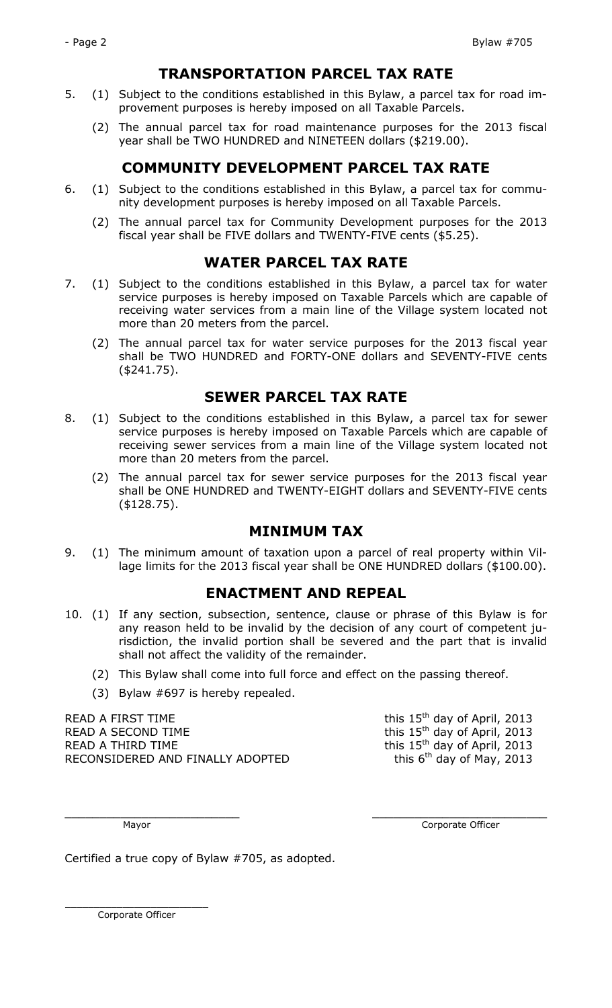#### TRANSPORTATION PARCEL TAX RATE

- 5. (1) Subject to the conditions established in this Bylaw, a parcel tax for road improvement purposes is hereby imposed on all Taxable Parcels.
	- (2) The annual parcel tax for road maintenance purposes for the 2013 fiscal year shall be TWO HUNDRED and NINETEEN dollars (\$219.00).

## COMMUNITY DEVELOPMENT PARCEL TAX RATE

- 6. (1) Subject to the conditions established in this Bylaw, a parcel tax for community development purposes is hereby imposed on all Taxable Parcels.
	- (2) The annual parcel tax for Community Development purposes for the 2013 fiscal year shall be FIVE dollars and TWENTY-FIVE cents (\$5.25).

### WATER PARCEL TAX RATE

- 7. (1) Subject to the conditions established in this Bylaw, a parcel tax for water service purposes is hereby imposed on Taxable Parcels which are capable of receiving water services from a main line of the Village system located not more than 20 meters from the parcel.
	- (2) The annual parcel tax for water service purposes for the 2013 fiscal year shall be TWO HUNDRED and FORTY-ONE dollars and SEVENTY-FIVE cents (\$241.75).

#### SEWER PARCEL TAX RATE

- 8. (1) Subject to the conditions established in this Bylaw, a parcel tax for sewer service purposes is hereby imposed on Taxable Parcels which are capable of receiving sewer services from a main line of the Village system located not more than 20 meters from the parcel.
	- (2) The annual parcel tax for sewer service purposes for the 2013 fiscal year shall be ONE HUNDRED and TWENTY-EIGHT dollars and SEVENTY-FIVE cents (\$128.75).

### MINIMUM TAX

9. (1) The minimum amount of taxation upon a parcel of real property within Village limits for the 2013 fiscal year shall be ONE HUNDRED dollars (\$100.00).

#### ENACTMENT AND REPEAL

- 10. (1) If any section, subsection, sentence, clause or phrase of this Bylaw is for any reason held to be invalid by the decision of any court of competent jurisdiction, the invalid portion shall be severed and the part that is invalid shall not affect the validity of the remainder.
	- (2) This Bylaw shall come into full force and effect on the passing thereof.
	- (3) Bylaw #697 is hereby repealed.

READ A FIRST TIME  $\sim$  this 15<sup>th</sup> day of April, 2013 READ A SECOND TIME  $\qquad \qquad$  this 15<sup>th</sup> day of April, 2013 READ A THIRD TIME  $\sim$  this 15<sup>th</sup> day of April, 2013 RECONSIDERED AND FINALLY ADOPTED this  $6<sup>th</sup>$  day of May, 2013

\_\_\_\_\_\_\_\_\_\_\_\_\_\_\_\_\_\_\_\_\_\_\_\_\_ \_\_\_\_\_\_\_\_\_\_\_\_\_\_\_\_\_\_\_\_\_\_\_\_\_

Mayor **Community** Community Community Community Community Community Community Community Community Community Community Community Community Community Community Community Community Community Community Community Community Comm

Certified a true copy of Bylaw #705, as adopted.

 \_\_\_\_\_\_\_\_\_\_\_\_\_\_\_\_\_\_\_\_\_\_\_\_\_ Corporate Officer